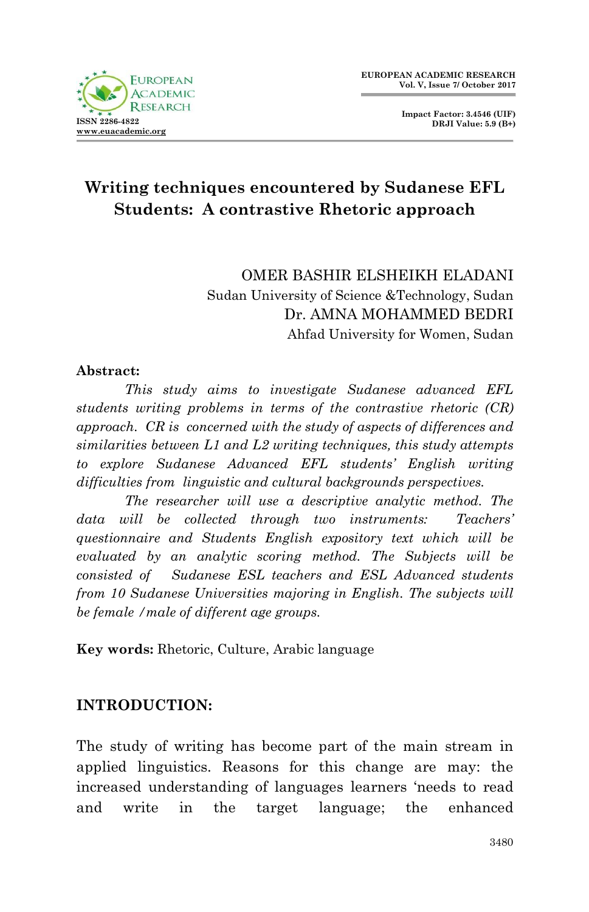

**Impact Factor: 3.4546 (UIF) DRJI Value: 5.9 (B+)**

# **Writing techniques encountered by Sudanese EFL Students: A contrastive Rhetoric approach**

OMER BASHIR ELSHEIKH ELADANI Sudan University of Science &Technology, Sudan Dr. AMNA MOHAMMED BEDRI Ahfad University for Women, Sudan

#### **Abstract:**

*This study aims to investigate Sudanese advanced EFL students writing problems in terms of the contrastive rhetoric (CR) approach. CR is concerned with the study of aspects of differences and similarities between L1 and L2 writing techniques, this study attempts to explore Sudanese Advanced EFL students' English writing difficulties from linguistic and cultural backgrounds perspectives.*

*The researcher will use a descriptive analytic method. The data will be collected through two instruments: Teachers' questionnaire and Students English expository text which will be evaluated by an analytic scoring method. The Subjects will be consisted of Sudanese ESL teachers and ESL Advanced students from 10 Sudanese Universities majoring in English. The subjects will be female /male of different age groups.* 

**Key words:** Rhetoric, Culture, Arabic language

# **INTRODUCTION:**

The study of writing has become part of the main stream in applied linguistics. Reasons for this change are may: the increased understanding of languages learners 'needs to read and write in the target language; the enhanced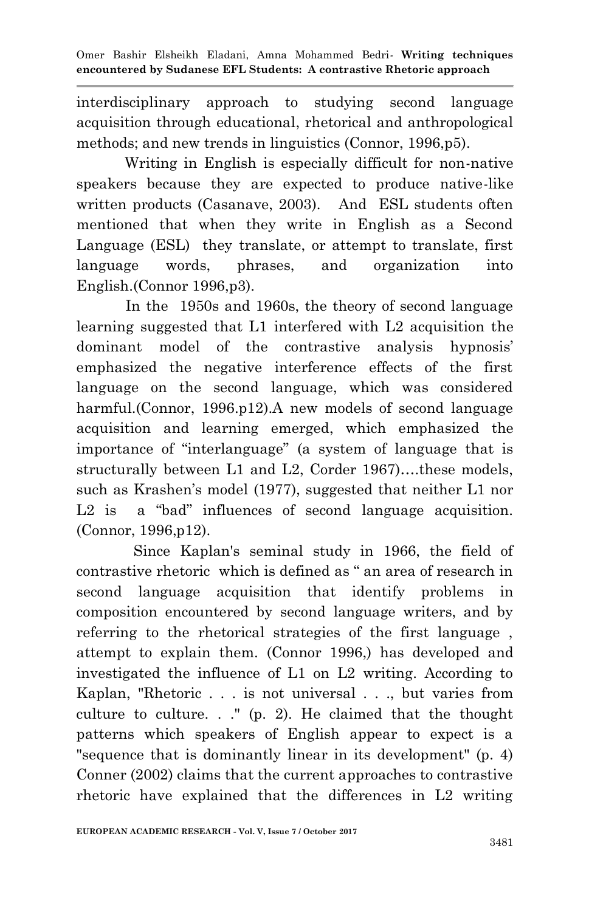interdisciplinary approach to studying second language acquisition through educational, rhetorical and anthropological methods; and new trends in linguistics (Connor, 1996,p5).

 Writing in English is especially difficult for non-native speakers because they are expected to produce native-like written products (Casanave, 2003). And ESL students often mentioned that when they write in English as a Second Language (ESL) they translate, or attempt to translate, first language words, phrases, and organization into English.(Connor 1996,p3).

 In the 1950s and 1960s, the theory of second language learning suggested that L1 interfered with L2 acquisition the dominant model of the contrastive analysis hypnosis' emphasized the negative interference effects of the first language on the second language, which was considered harmful.(Connor, 1996.p12).A new models of second language acquisition and learning emerged, which emphasized the importance of "interlanguage" (a system of language that is structurally between L1 and L2, Corder 1967)….these models, such as Krashen's model (1977), suggested that neither L1 nor  $L2$  is a "bad" influences of second language acquisition. (Connor, 1996,p12).

 Since Kaplan's seminal study in 1966, the field of contrastive rhetoric which is defined as " an area of research in second language acquisition that identify problems in composition encountered by second language writers, and by referring to the rhetorical strategies of the first language , attempt to explain them. (Connor 1996,) has developed and investigated the influence of L1 on L2 writing. According to Kaplan, "Rhetoric . . . is not universal . . ., but varies from culture to culture. . ." (p. 2). He claimed that the thought patterns which speakers of English appear to expect is a "sequence that is dominantly linear in its development" (p. 4) Conner (2002) claims that the current approaches to contrastive rhetoric have explained that the differences in L2 writing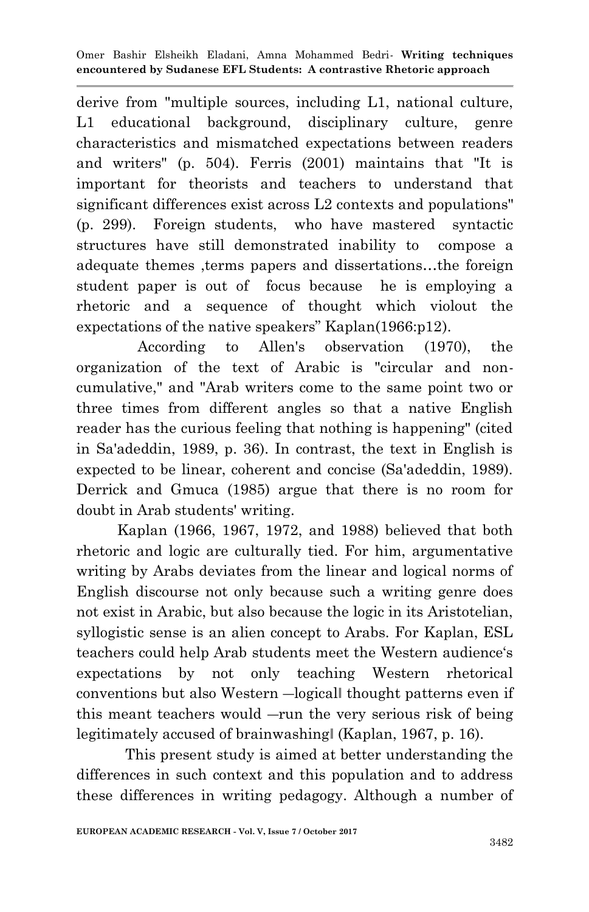derive from "multiple sources, including L1, national culture, L1 educational background, disciplinary culture, genre characteristics and mismatched expectations between readers and writers" (p. 504). Ferris (2001) maintains that "It is important for theorists and teachers to understand that significant differences exist across L2 contexts and populations" (p. 299). Foreign students, who have mastered syntactic structures have still demonstrated inability to compose a adequate themes ,terms papers and dissertations…the foreign student paper is out of focus because he is employing a rhetoric and a sequence of thought which violout the expectations of the native speakers" Kaplan $(1966: p12)$ .

 According to Allen's observation (1970), the organization of the text of Arabic is "circular and noncumulative," and "Arab writers come to the same point two or three times from different angles so that a native English reader has the curious feeling that nothing is happening" (cited in Sa'adeddin, 1989, p. 36). In contrast, the text in English is expected to be linear, coherent and concise (Sa'adeddin, 1989). Derrick and Gmuca (1985) argue that there is no room for doubt in Arab students' writing.

 Kaplan (1966, 1967, 1972, and 1988) believed that both rhetoric and logic are culturally tied. For him, argumentative writing by Arabs deviates from the linear and logical norms of English discourse not only because such a writing genre does not exist in Arabic, but also because the logic in its Aristotelian, syllogistic sense is an alien concept to Arabs. For Kaplan, ESL teachers could help Arab students meet the Western audience's expectations by not only teaching Western rhetorical conventions but also Western ―logical‖ thought patterns even if this meant teachers would ―run the very serious risk of being legitimately accused of brainwashing‖ (Kaplan, 1967, p. 16).

 This present study is aimed at better understanding the differences in such context and this population and to address these differences in writing pedagogy. Although a number of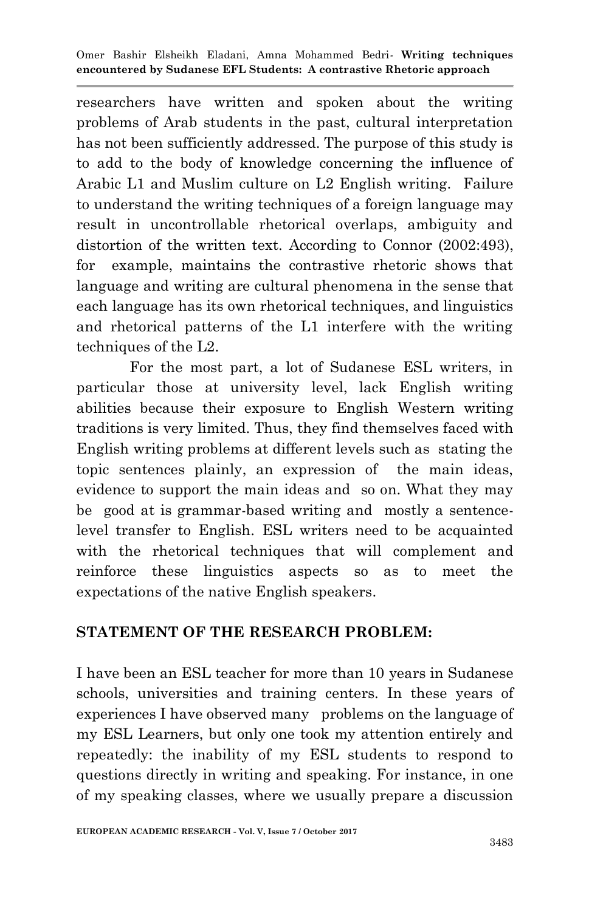researchers have written and spoken about the writing problems of Arab students in the past, cultural interpretation has not been sufficiently addressed. The purpose of this study is to add to the body of knowledge concerning the influence of Arabic L1 and Muslim culture on L2 English writing. Failure to understand the writing techniques of a foreign language may result in uncontrollable rhetorical overlaps, ambiguity and distortion of the written text. According to Connor (2002:493), for example, maintains the contrastive rhetoric shows that language and writing are cultural phenomena in the sense that each language has its own rhetorical techniques, and linguistics and rhetorical patterns of the L1 interfere with the writing techniques of the L2.

 For the most part, a lot of Sudanese ESL writers, in particular those at university level, lack English writing abilities because their exposure to English Western writing traditions is very limited. Thus, they find themselves faced with English writing problems at different levels such as stating the topic sentences plainly, an expression of the main ideas, evidence to support the main ideas and so on. What they may be good at is grammar-based writing and mostly a sentencelevel transfer to English. ESL writers need to be acquainted with the rhetorical techniques that will complement and reinforce these linguistics aspects so as to meet the expectations of the native English speakers.

# **STATEMENT OF THE RESEARCH PROBLEM:**

I have been an ESL teacher for more than 10 years in Sudanese schools, universities and training centers. In these years of experiences I have observed many problems on the language of my ESL Learners, but only one took my attention entirely and repeatedly: the inability of my ESL students to respond to questions directly in writing and speaking. For instance, in one of my speaking classes, where we usually prepare a discussion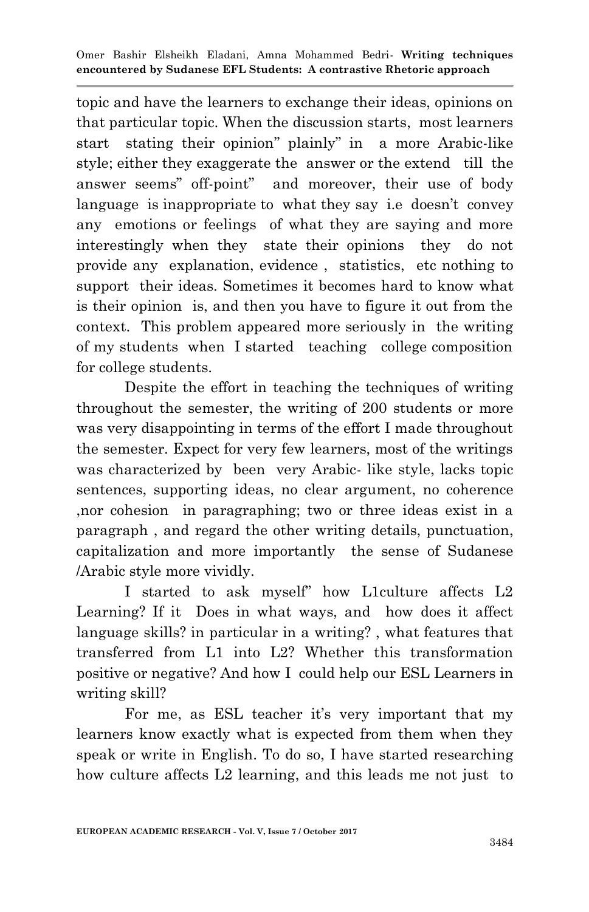topic and have the learners to exchange their ideas, opinions on that particular topic. When the discussion starts, most learners start stating their opinion" plainly" in a more Arabic-like style; either they exaggerate the answer or the extend till the answer seems" off-point" and moreover, their use of body language is inappropriate to what they say i.e doesn't convey any emotions or feelings of what they are saying and more interestingly when they state their opinions they do not provide any explanation, evidence , statistics, etc nothing to support their ideas. Sometimes it becomes hard to know what is their opinion is, and then you have to figure it out from the context. This problem appeared more seriously in the writing of my students when I started teaching college composition for college students.

Despite the effort in teaching the techniques of writing throughout the semester, the writing of 200 students or more was very disappointing in terms of the effort I made throughout the semester. Expect for very few learners, most of the writings was characterized by been very Arabic- like style, lacks topic sentences, supporting ideas, no clear argument, no coherence ,nor cohesion in paragraphing; two or three ideas exist in a paragraph , and regard the other writing details, punctuation, capitalization and more importantly the sense of Sudanese /Arabic style more vividly.

I started to ask myself" how L1culture affects L2 Learning? If it Does in what ways, and how does it affect language skills? in particular in a writing? , what features that transferred from L1 into L2? Whether this transformation positive or negative? And how I could help our ESL Learners in writing skill?

For me, as ESL teacher it's very important that my learners know exactly what is expected from them when they speak or write in English. To do so, I have started researching how culture affects L2 learning, and this leads me not just to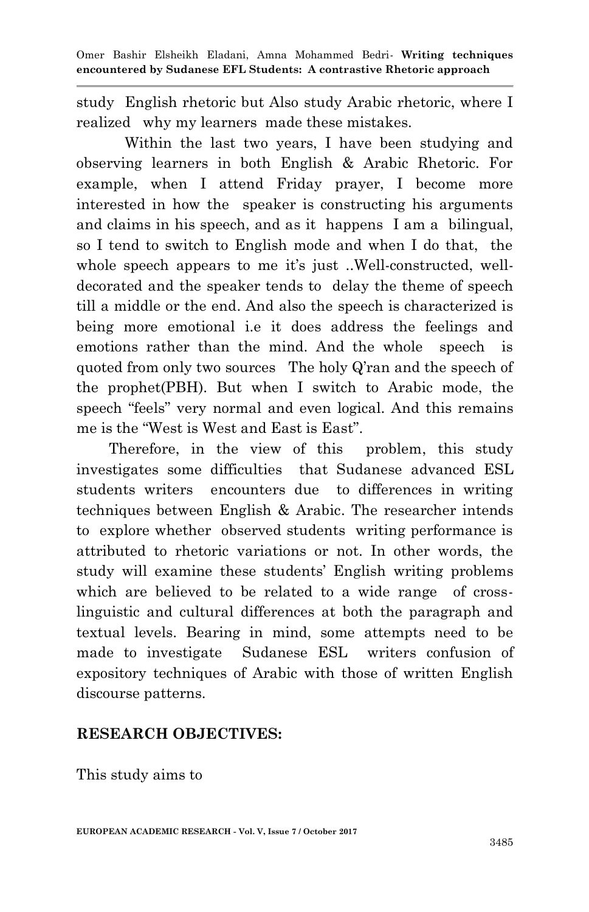study English rhetoric but Also study Arabic rhetoric, where I realized why my learners made these mistakes.

Within the last two years, I have been studying and observing learners in both English & Arabic Rhetoric. For example, when I attend Friday prayer, I become more interested in how the speaker is constructing his arguments and claims in his speech, and as it happens I am a bilingual, so I tend to switch to English mode and when I do that, the whole speech appears to me it's just ..Well-constructed, welldecorated and the speaker tends to delay the theme of speech till a middle or the end. And also the speech is characterized is being more emotional i.e it does address the feelings and emotions rather than the mind. And the whole speech is quoted from only two sources The holy Q'ran and the speech of the prophet(PBH). But when I switch to Arabic mode, the speech "feels" very normal and even logical. And this remains me is the "West is West and East is East".

 Therefore, in the view of this problem, this study investigates some difficulties that Sudanese advanced ESL students writers encounters due to differences in writing techniques between English & Arabic. The researcher intends to explore whether observed students writing performance is attributed to rhetoric variations or not. In other words, the study will examine these students' English writing problems which are believed to be related to a wide range of crosslinguistic and cultural differences at both the paragraph and textual levels. Bearing in mind, some attempts need to be made to investigate Sudanese ESL writers confusion of expository techniques of Arabic with those of written English discourse patterns.

#### **RESEARCH OBJECTIVES:**

This study aims to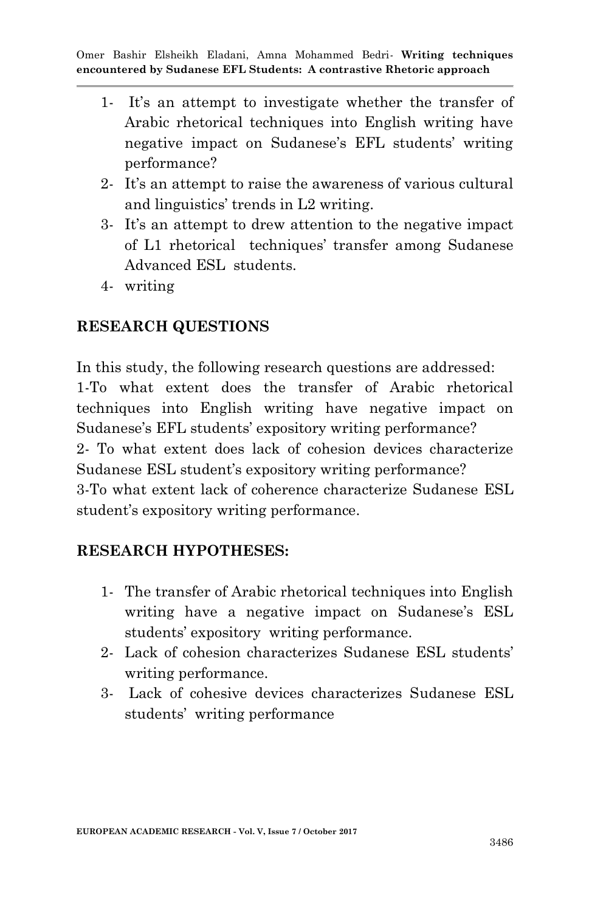- 1- It's an attempt to investigate whether the transfer of Arabic rhetorical techniques into English writing have negative impact on Sudanese's EFL students' writing performance?
- 2- It's an attempt to raise the awareness of various cultural and linguistics' trends in L2 writing.
- 3- It's an attempt to drew attention to the negative impact of L1 rhetorical techniques' transfer among Sudanese Advanced ESL students.
- 4- writing

### **RESEARCH QUESTIONS**

In this study, the following research questions are addressed: 1-To what extent does the transfer of Arabic rhetorical techniques into English writing have negative impact on Sudanese's EFL students' expository writing performance? 2- To what extent does lack of cohesion devices characterize Sudanese ESL student's expository writing performance? 3-To what extent lack of coherence characterize Sudanese ESL student's expository writing performance.

#### **RESEARCH HYPOTHESES:**

- 1- The transfer of Arabic rhetorical techniques into English writing have a negative impact on Sudanese's ESL students' expository writing performance.
- 2- Lack of cohesion characterizes Sudanese ESL students' writing performance.
- 3- Lack of cohesive devices characterizes Sudanese ESL students' writing performance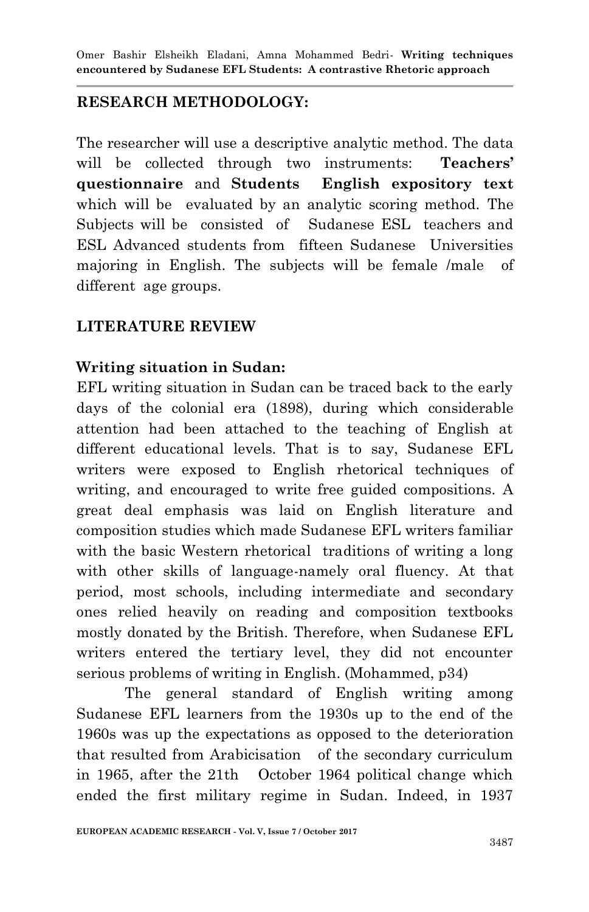# **RESEARCH METHODOLOGY:**

The researcher will use a descriptive analytic method. The data will be collected through two instruments: **Teachers' questionnaire** and **Students English expository text** which will be evaluated by an analytic scoring method. The Subjects will be consisted of Sudanese ESL teachers and ESL Advanced students from fifteen Sudanese Universities majoring in English. The subjects will be female /male of different age groups.

# **LITERATURE REVIEW**

# **Writing situation in Sudan:**

EFL writing situation in Sudan can be traced back to the early days of the colonial era (1898), during which considerable attention had been attached to the teaching of English at different educational levels. That is to say, Sudanese EFL writers were exposed to English rhetorical techniques of writing, and encouraged to write free guided compositions. A great deal emphasis was laid on English literature and composition studies which made Sudanese EFL writers familiar with the basic Western rhetorical traditions of writing a long with other skills of language-namely oral fluency. At that period, most schools, including intermediate and secondary ones relied heavily on reading and composition textbooks mostly donated by the British. Therefore, when Sudanese EFL writers entered the tertiary level, they did not encounter serious problems of writing in English. (Mohammed, p34)

 The general standard of English writing among Sudanese EFL learners from the 1930s up to the end of the 1960s was up the expectations as opposed to the deterioration that resulted from Arabicisation of the secondary curriculum in 1965, after the 21th October 1964 political change which ended the first military regime in Sudan. Indeed, in 1937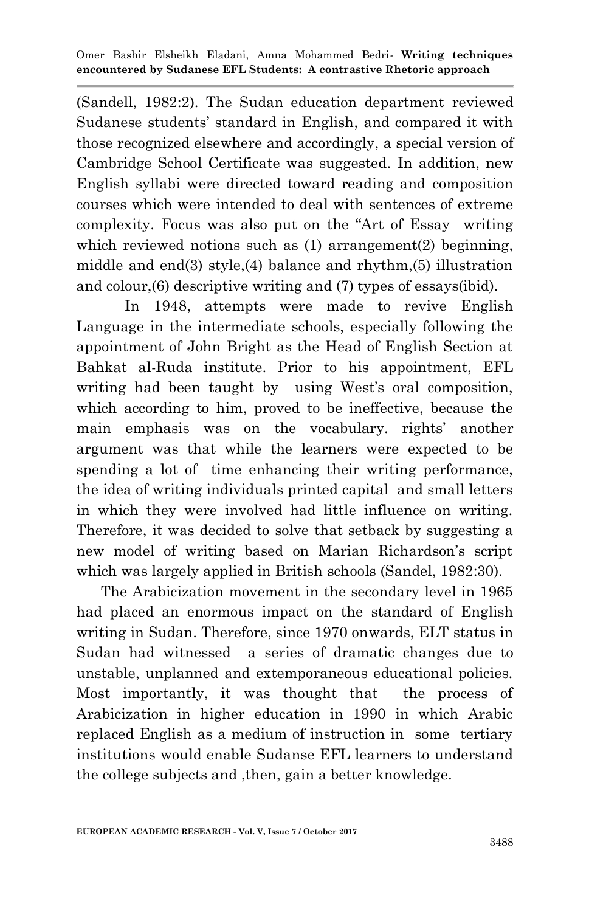(Sandell, 1982:2). The Sudan education department reviewed Sudanese students' standard in English, and compared it with those recognized elsewhere and accordingly, a special version of Cambridge School Certificate was suggested. In addition, new English syllabi were directed toward reading and composition courses which were intended to deal with sentences of extreme complexity. Focus was also put on the "Art of Essay writing" which reviewed notions such as (1) arrangement(2) beginning, middle and end(3) style,(4) balance and rhythm,(5) illustration and colour,(6) descriptive writing and (7) types of essays(ibid).

 In 1948, attempts were made to revive English Language in the intermediate schools, especially following the appointment of John Bright as the Head of English Section at Bahkat al-Ruda institute. Prior to his appointment, EFL writing had been taught by using West's oral composition, which according to him, proved to be ineffective, because the main emphasis was on the vocabulary. rights' another argument was that while the learners were expected to be spending a lot of time enhancing their writing performance, the idea of writing individuals printed capital and small letters in which they were involved had little influence on writing. Therefore, it was decided to solve that setback by suggesting a new model of writing based on Marian Richardson's script which was largely applied in British schools (Sandel, 1982:30).

 The Arabicization movement in the secondary level in 1965 had placed an enormous impact on the standard of English writing in Sudan. Therefore, since 1970 onwards, ELT status in Sudan had witnessed a series of dramatic changes due to unstable, unplanned and extemporaneous educational policies. Most importantly, it was thought that the process of Arabicization in higher education in 1990 in which Arabic replaced English as a medium of instruction in some tertiary institutions would enable Sudanse EFL learners to understand the college subjects and ,then, gain a better knowledge.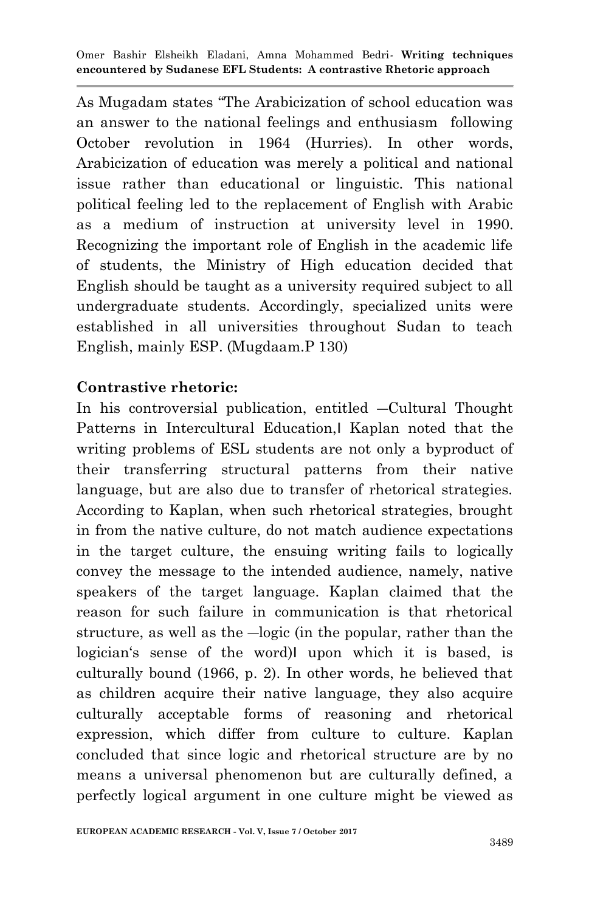As Mugadam states "The Arabicization of school education was an answer to the national feelings and enthusiasm following October revolution in 1964 (Hurries). In other words, Arabicization of education was merely a political and national issue rather than educational or linguistic. This national political feeling led to the replacement of English with Arabic as a medium of instruction at university level in 1990. Recognizing the important role of English in the academic life of students, the Ministry of High education decided that English should be taught as a university required subject to all undergraduate students. Accordingly, specialized units were established in all universities throughout Sudan to teach English, mainly ESP. (Mugdaam.P 130)

### **Contrastive rhetoric:**

In his controversial publication, entitled ―Cultural Thought Patterns in Intercultural Education, Kaplan noted that the writing problems of ESL students are not only a byproduct of their transferring structural patterns from their native language, but are also due to transfer of rhetorical strategies. According to Kaplan, when such rhetorical strategies, brought in from the native culture, do not match audience expectations in the target culture, the ensuing writing fails to logically convey the message to the intended audience, namely, native speakers of the target language. Kaplan claimed that the reason for such failure in communication is that rhetorical structure, as well as the ―logic (in the popular, rather than the logician's sense of the word) upon which it is based, is culturally bound (1966, p. 2). In other words, he believed that as children acquire their native language, they also acquire culturally acceptable forms of reasoning and rhetorical expression, which differ from culture to culture. Kaplan concluded that since logic and rhetorical structure are by no means a universal phenomenon but are culturally defined, a perfectly logical argument in one culture might be viewed as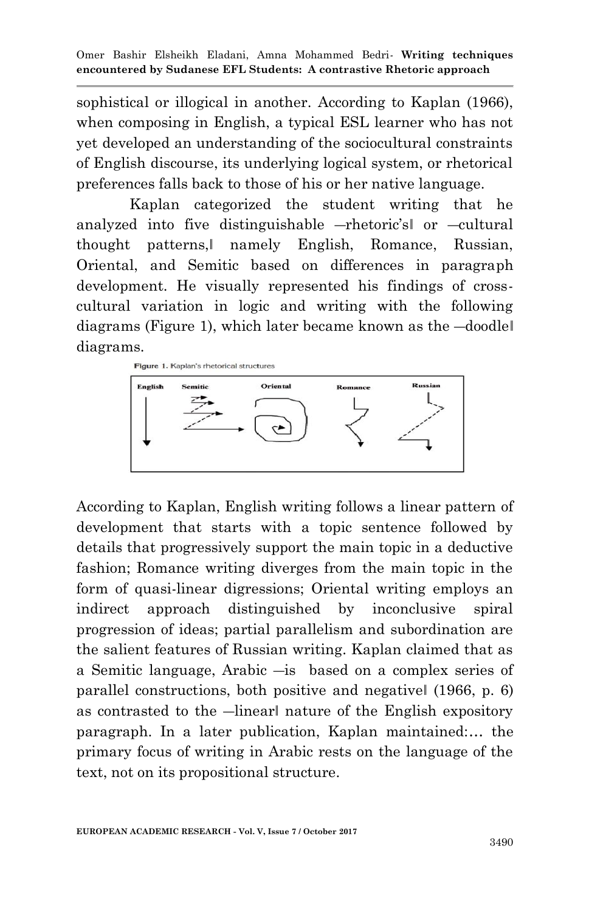sophistical or illogical in another. According to Kaplan (1966), when composing in English, a typical ESL learner who has not yet developed an understanding of the sociocultural constraints of English discourse, its underlying logical system, or rhetorical preferences falls back to those of his or her native language.

 Kaplan categorized the student writing that he analyzed into five distinguishable ―rhetoric's‖ or ―cultural thought patterns,‖ namely English, Romance, Russian, Oriental, and Semitic based on differences in paragraph development. He visually represented his findings of crosscultural variation in logic and writing with the following diagrams (Figure 1), which later became known as the ―doodle‖ diagrams.



According to Kaplan, English writing follows a linear pattern of development that starts with a topic sentence followed by details that progressively support the main topic in a deductive fashion; Romance writing diverges from the main topic in the form of quasi-linear digressions; Oriental writing employs an indirect approach distinguished by inconclusive spiral progression of ideas; partial parallelism and subordination are the salient features of Russian writing. Kaplan claimed that as a Semitic language, Arabic ―is based on a complex series of parallel constructions, both positive and negative‖ (1966, p. 6) as contrasted to the —linearl nature of the English expository paragraph. In a later publication, Kaplan maintained:… the primary focus of writing in Arabic rests on the language of the text, not on its propositional structure.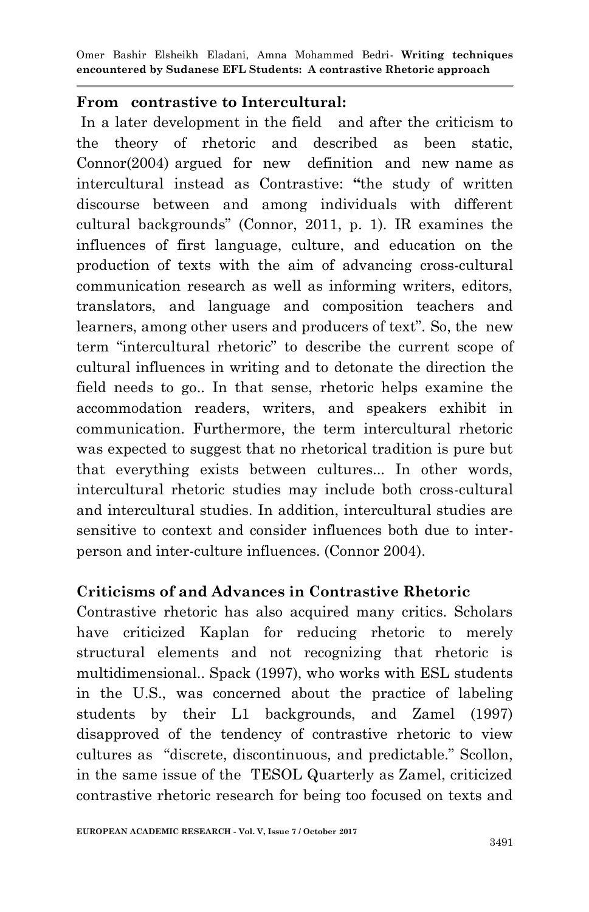#### **From contrastive to Intercultural:**

In a later development in the field and after the criticism to the theory of rhetoric and described as been static, Connor(2004) argued for new definition and new name as intercultural instead as Contrastive: **"**the study of written discourse between and among individuals with different cultural backgrounds‖ (Connor, 2011, p. 1). IR examines the influences of first language, culture, and education on the production of texts with the aim of advancing cross-cultural communication research as well as informing writers, editors, translators, and language and composition teachers and learners, among other users and producers of text". So, the new term "intercultural rhetoric" to describe the current scope of cultural influences in writing and to detonate the direction the field needs to go.. In that sense, rhetoric helps examine the accommodation readers, writers, and speakers exhibit in communication. Furthermore, the term intercultural rhetoric was expected to suggest that no rhetorical tradition is pure but that everything exists between cultures... In other words, intercultural rhetoric studies may include both cross-cultural and intercultural studies. In addition, intercultural studies are sensitive to context and consider influences both due to interperson and inter-culture influences. (Connor 2004).

#### **Criticisms of and Advances in Contrastive Rhetoric**

Contrastive rhetoric has also acquired many critics. Scholars have criticized Kaplan for reducing rhetoric to merely structural elements and not recognizing that rhetoric is multidimensional.. Spack (1997), who works with ESL students in the U.S., was concerned about the practice of labeling students by their L1 backgrounds, and Zamel (1997) disapproved of the tendency of contrastive rhetoric to view cultures as "discrete, discontinuous, and predictable." Scollon, in the same issue of the TESOL Quarterly as Zamel, criticized contrastive rhetoric research for being too focused on texts and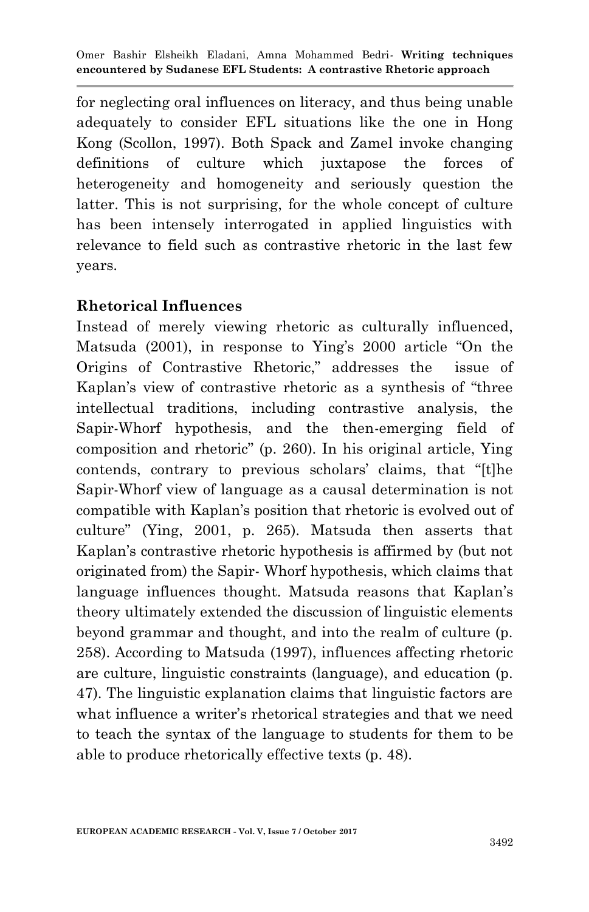for neglecting oral influences on literacy, and thus being unable adequately to consider EFL situations like the one in Hong Kong (Scollon, 1997). Both Spack and Zamel invoke changing definitions of culture which juxtapose the forces of heterogeneity and homogeneity and seriously question the latter. This is not surprising, for the whole concept of culture has been intensely interrogated in applied linguistics with relevance to field such as contrastive rhetoric in the last few years.

#### **Rhetorical Influences**

Instead of merely viewing rhetoric as culturally influenced, Matsuda  $(2001)$ , in response to Ying's  $2000$  article "On the Origins of Contrastive Rhetoric," addresses the issue of Kaplan's view of contrastive rhetoric as a synthesis of "three intellectual traditions, including contrastive analysis, the Sapir-Whorf hypothesis, and the then-emerging field of composition and rhetoric" (p. 260). In his original article, Ying contends, contrary to previous scholars' claims, that "[t]he Sapir-Whorf view of language as a causal determination is not compatible with Kaplan's position that rhetoric is evolved out of culture" (Ying, 2001, p. 265). Matsuda then asserts that Kaplan's contrastive rhetoric hypothesis is affirmed by (but not originated from) the Sapir- Whorf hypothesis, which claims that language influences thought. Matsuda reasons that Kaplan's theory ultimately extended the discussion of linguistic elements beyond grammar and thought, and into the realm of culture (p. 258). According to Matsuda (1997), influences affecting rhetoric are culture, linguistic constraints (language), and education (p. 47). The linguistic explanation claims that linguistic factors are what influence a writer's rhetorical strategies and that we need to teach the syntax of the language to students for them to be able to produce rhetorically effective texts (p. 48).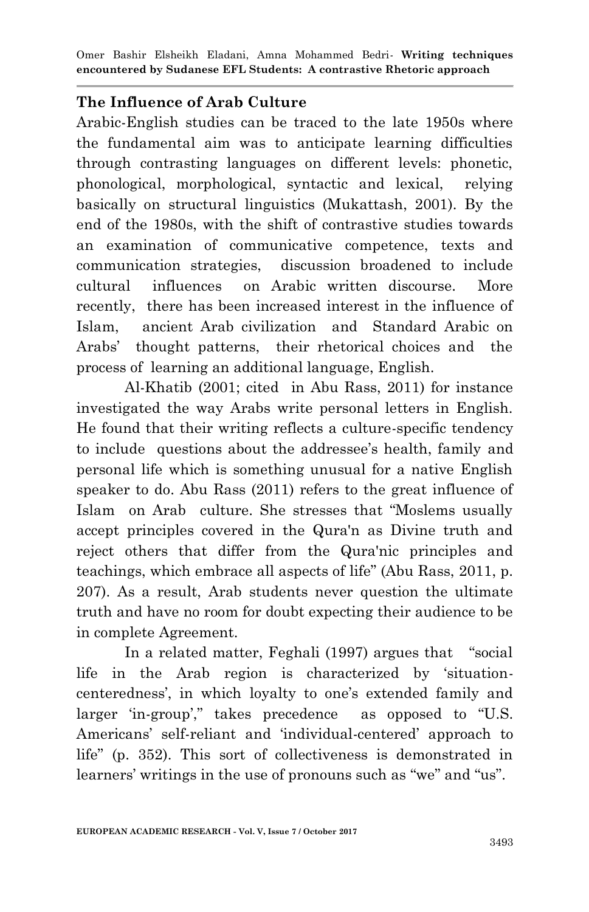### **The Influence of Arab Culture**

Arabic-English studies can be traced to the late 1950s where the fundamental aim was to anticipate learning difficulties through contrasting languages on different levels: phonetic, phonological, morphological, syntactic and lexical, relying basically on structural linguistics (Mukattash, 2001). By the end of the 1980s, with the shift of contrastive studies towards an examination of communicative competence, texts and communication strategies, discussion broadened to include cultural influences on Arabic written discourse. More recently, there has been increased interest in the influence of Islam, ancient Arab civilization and Standard Arabic on Arabs' thought patterns, their rhetorical choices and the process of learning an additional language, English.

Al-Khatib (2001; cited in Abu Rass, 2011) for instance investigated the way Arabs write personal letters in English. He found that their writing reflects a culture-specific tendency to include questions about the addressee's health, family and personal life which is something unusual for a native English speaker to do. Abu Rass (2011) refers to the great influence of Islam on Arab culture. She stresses that "Moslems usually accept principles covered in the Qura'n as Divine truth and reject others that differ from the Qura'nic principles and teachings, which embrace all aspects of life" (Abu Rass, 2011, p. 207). As a result, Arab students never question the ultimate truth and have no room for doubt expecting their audience to be in complete Agreement.

In a related matter, Feghali (1997) argues that "social life in the Arab region is characterized by 'situationcenteredness', in which loyalty to one's extended family and larger 'in-group'," takes precedence as opposed to "U.S. Americans' self-reliant and 'individual-centered' approach to life" (p. 352). This sort of collectiveness is demonstrated in learners' writings in the use of pronouns such as "we" and "us".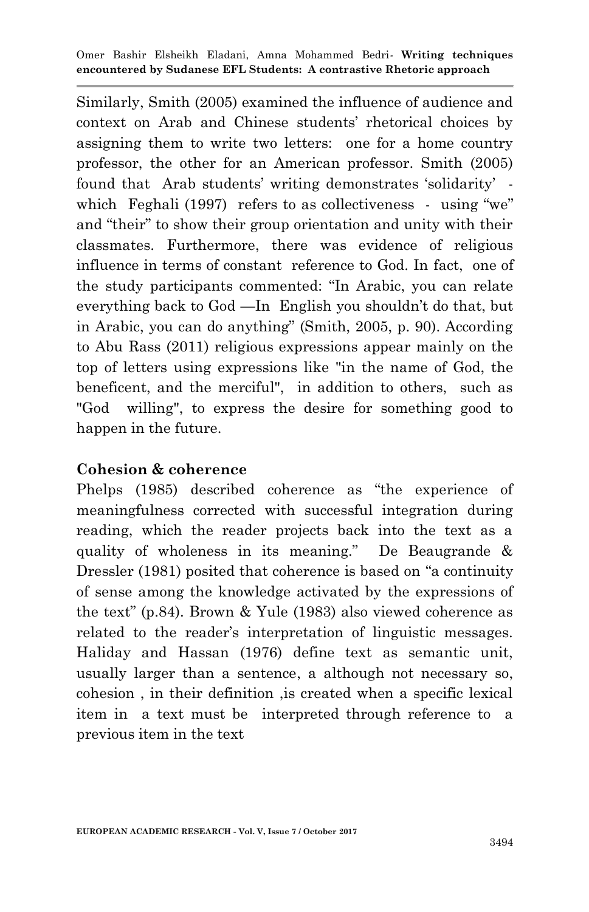Similarly, Smith (2005) examined the influence of audience and context on Arab and Chinese students' rhetorical choices by assigning them to write two letters: one for a home country professor, the other for an American professor. Smith (2005) found that Arab students' writing demonstrates 'solidarity' which Feghali (1997) refers to as collectiveness - using "we" and "their" to show their group orientation and unity with their classmates. Furthermore, there was evidence of religious influence in terms of constant reference to God. In fact, one of the study participants commented: "In Arabic, you can relate everything back to God —In English you shouldn't do that, but in Arabic, you can do anything" (Smith, 2005, p. 90). According to Abu Rass (2011) religious expressions appear mainly on the top of letters using expressions like "in the name of God, the beneficent, and the merciful", in addition to others, such as "God willing", to express the desire for something good to happen in the future.

#### **Cohesion & coherence**

Phelps (1985) described coherence as "the experience of meaningfulness corrected with successful integration during reading, which the reader projects back into the text as a quality of wholeness in its meaning." De Beaugrande  $\&$ Dressler (1981) posited that coherence is based on "a continuity of sense among the knowledge activated by the expressions of the text" (p.84). Brown & Yule (1983) also viewed coherence as related to the reader's interpretation of linguistic messages. Haliday and Hassan (1976) define text as semantic unit, usually larger than a sentence, a although not necessary so, cohesion , in their definition ,is created when a specific lexical item in a text must be interpreted through reference to a previous item in the text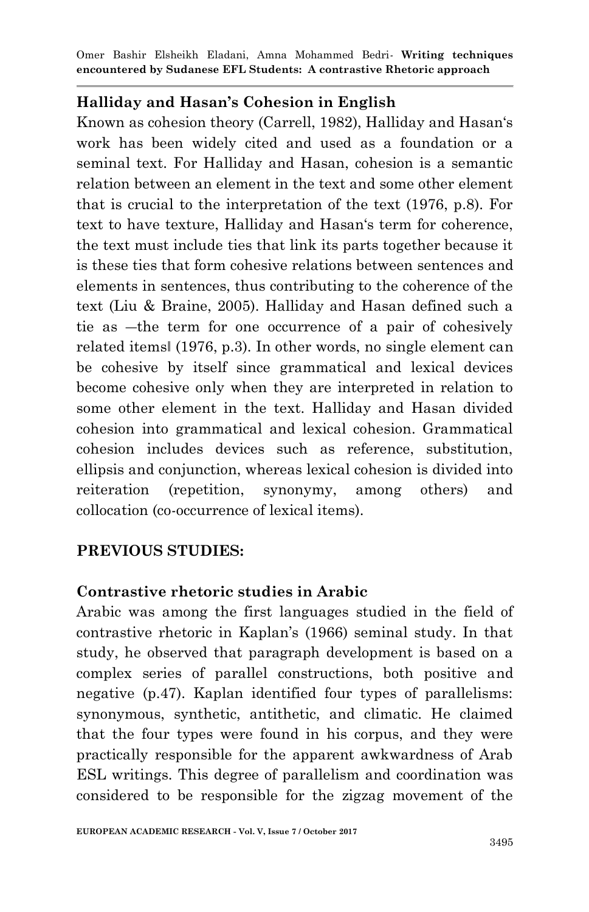### **Halliday and Hasan's Cohesion in English**

Known as cohesion theory (Carrell, 1982), Halliday and Hasan's work has been widely cited and used as a foundation or a seminal text. For Halliday and Hasan, cohesion is a semantic relation between an element in the text and some other element that is crucial to the interpretation of the text (1976, p.8). For text to have texture, Halliday and Hasan's term for coherence, the text must include ties that link its parts together because it is these ties that form cohesive relations between sentences and elements in sentences, thus contributing to the coherence of the text (Liu & Braine, 2005). Halliday and Hasan defined such a tie as ―the term for one occurrence of a pair of cohesively related items‖ (1976, p.3). In other words, no single element can be cohesive by itself since grammatical and lexical devices become cohesive only when they are interpreted in relation to some other element in the text. Halliday and Hasan divided cohesion into grammatical and lexical cohesion. Grammatical cohesion includes devices such as reference, substitution, ellipsis and conjunction, whereas lexical cohesion is divided into reiteration (repetition, synonymy, among others) and collocation (co-occurrence of lexical items).

# **PREVIOUS STUDIES:**

# **Contrastive rhetoric studies in Arabic**

Arabic was among the first languages studied in the field of contrastive rhetoric in Kaplan's (1966) seminal study. In that study, he observed that paragraph development is based on a complex series of parallel constructions, both positive and negative (p.47). Kaplan identified four types of parallelisms: synonymous, synthetic, antithetic, and climatic. He claimed that the four types were found in his corpus, and they were practically responsible for the apparent awkwardness of Arab ESL writings. This degree of parallelism and coordination was considered to be responsible for the zigzag movement of the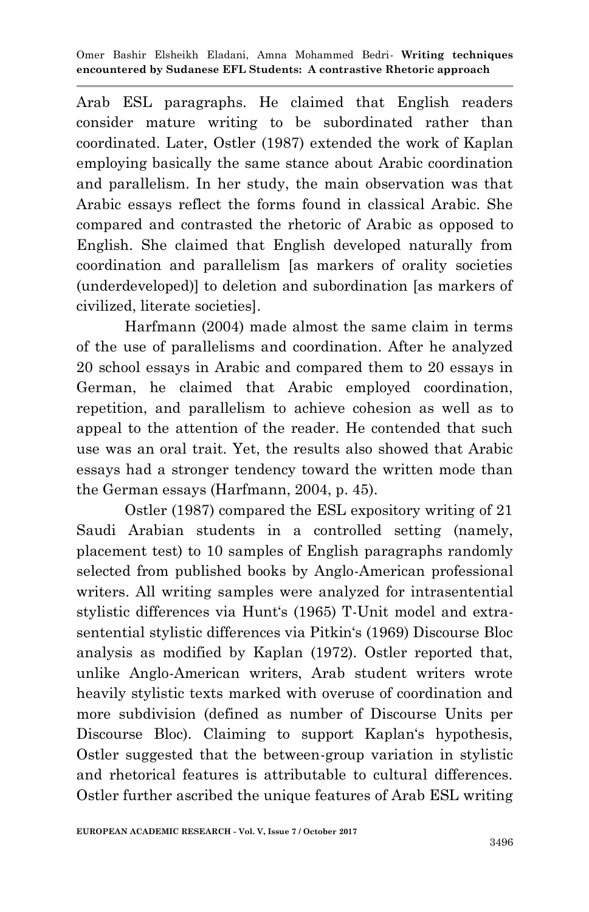Arab ESL paragraphs. He claimed that English readers consider mature writing to be subordinated rather than coordinated. Later, Ostler (1987) extended the work of Kaplan employing basically the same stance about Arabic coordination and parallelism. In her study, the main observation was that Arabic essays reflect the forms found in classical Arabic. She compared and contrasted the rhetoric of Arabic as opposed to English. She claimed that English developed naturally from coordination and parallelism [as markers of orality societies (underdeveloped)] to deletion and subordination [as markers of civilized, literate societies].

 Harfmann (2004) made almost the same claim in terms of the use of parallelisms and coordination. After he analyzed 20 school essays in Arabic and compared them to 20 essays in German, he claimed that Arabic employed coordination, repetition, and parallelism to achieve cohesion as well as to appeal to the attention of the reader. He contended that such use was an oral trait. Yet, the results also showed that Arabic essays had a stronger tendency toward the written mode than the German essays (Harfmann, 2004, p. 45).

Ostler (1987) compared the ESL expository writing of 21 Saudi Arabian students in a controlled setting (namely, placement test) to 10 samples of English paragraphs randomly selected from published books by Anglo-American professional writers. All writing samples were analyzed for intrasentential stylistic differences via Hunt's (1965) T-Unit model and extrasentential stylistic differences via Pitkin‗s (1969) Discourse Bloc analysis as modified by Kaplan (1972). Ostler reported that, unlike Anglo-American writers, Arab student writers wrote heavily stylistic texts marked with overuse of coordination and more subdivision (defined as number of Discourse Units per Discourse Bloc). Claiming to support Kaplan's hypothesis, Ostler suggested that the between-group variation in stylistic and rhetorical features is attributable to cultural differences. Ostler further ascribed the unique features of Arab ESL writing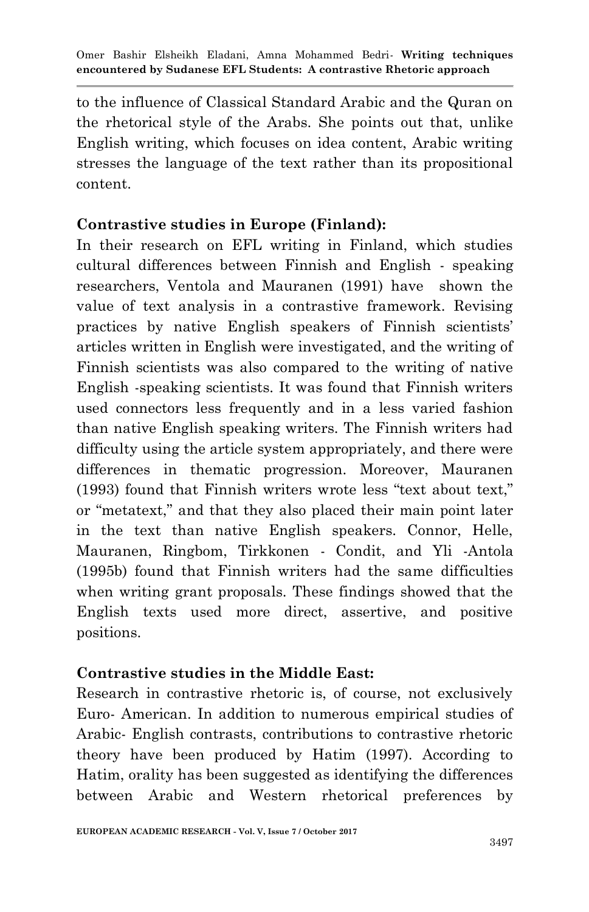to the influence of Classical Standard Arabic and the Quran on the rhetorical style of the Arabs. She points out that, unlike English writing, which focuses on idea content, Arabic writing stresses the language of the text rather than its propositional content.

# **Contrastive studies in Europe (Finland):**

In their research on EFL writing in Finland, which studies cultural differences between Finnish and English - speaking researchers, Ventola and Mauranen (1991) have shown the value of text analysis in a contrastive framework. Revising practices by native English speakers of Finnish scientists' articles written in English were investigated, and the writing of Finnish scientists was also compared to the writing of native English -speaking scientists. It was found that Finnish writers used connectors less frequently and in a less varied fashion than native English speaking writers. The Finnish writers had difficulty using the article system appropriately, and there were differences in thematic progression. Moreover, Mauranen  $(1993)$  found that Finnish writers wrote less "text about text," or "metatext," and that they also placed their main point later in the text than native English speakers. Connor, Helle, Mauranen, Ringbom, Tirkkonen - Condit, and Yli -Antola (1995b) found that Finnish writers had the same difficulties when writing grant proposals. These findings showed that the English texts used more direct, assertive, and positive positions.

# **Contrastive studies in the Middle East:**

Research in contrastive rhetoric is, of course, not exclusively Euro- American. In addition to numerous empirical studies of Arabic- English contrasts, contributions to contrastive rhetoric theory have been produced by Hatim (1997). According to Hatim, orality has been suggested as identifying the differences between Arabic and Western rhetorical preferences by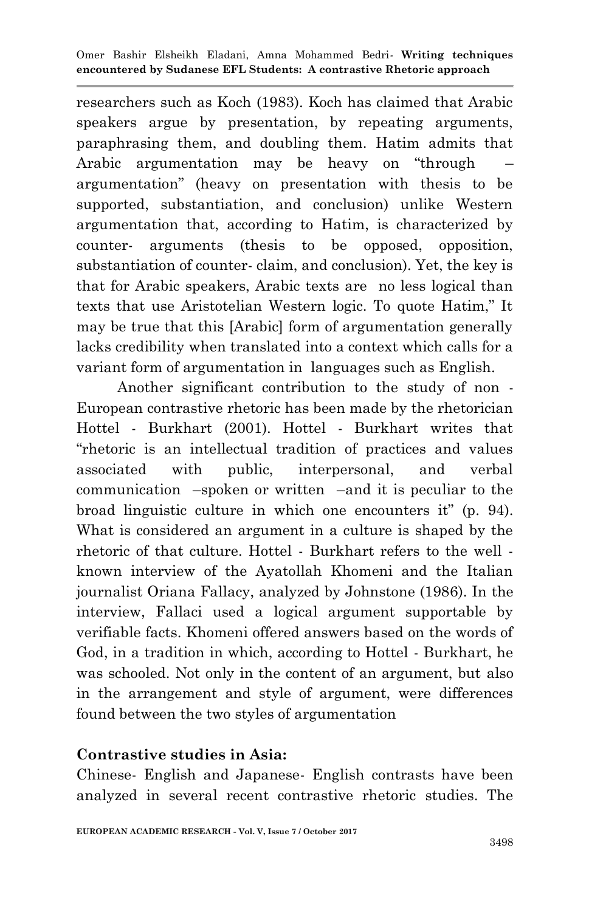researchers such as Koch (1983). Koch has claimed that Arabic speakers argue by presentation, by repeating arguments, paraphrasing them, and doubling them. Hatim admits that Arabic argumentation may be heavy on "through argumentation‖ (heavy on presentation with thesis to be supported, substantiation, and conclusion) unlike Western argumentation that, according to Hatim, is characterized by counter- arguments (thesis to be opposed, opposition, substantiation of counter- claim, and conclusion). Yet, the key is that for Arabic speakers, Arabic texts are no less logical than texts that use Aristotelian Western logic. To quote Hatim," It may be true that this [Arabic] form of argumentation generally lacks credibility when translated into a context which calls for a variant form of argumentation in languages such as English.

 Another significant contribution to the study of non - European contrastive rhetoric has been made by the rhetorician Hottel - Burkhart (2001). Hottel - Burkhart writes that ―rhetoric is an intellectual tradition of practices and values associated with public, interpersonal, and verbal communication –spoken or written –and it is peculiar to the broad linguistic culture in which one encounters it" (p. 94). What is considered an argument in a culture is shaped by the rhetoric of that culture. Hottel - Burkhart refers to the well known interview of the Ayatollah Khomeni and the Italian journalist Oriana Fallacy, analyzed by Johnstone (1986). In the interview, Fallaci used a logical argument supportable by verifiable facts. Khomeni offered answers based on the words of God, in a tradition in which, according to Hottel - Burkhart, he was schooled. Not only in the content of an argument, but also in the arrangement and style of argument, were differences found between the two styles of argumentation

# **Contrastive studies in Asia:**

Chinese- English and Japanese- English contrasts have been analyzed in several recent contrastive rhetoric studies. The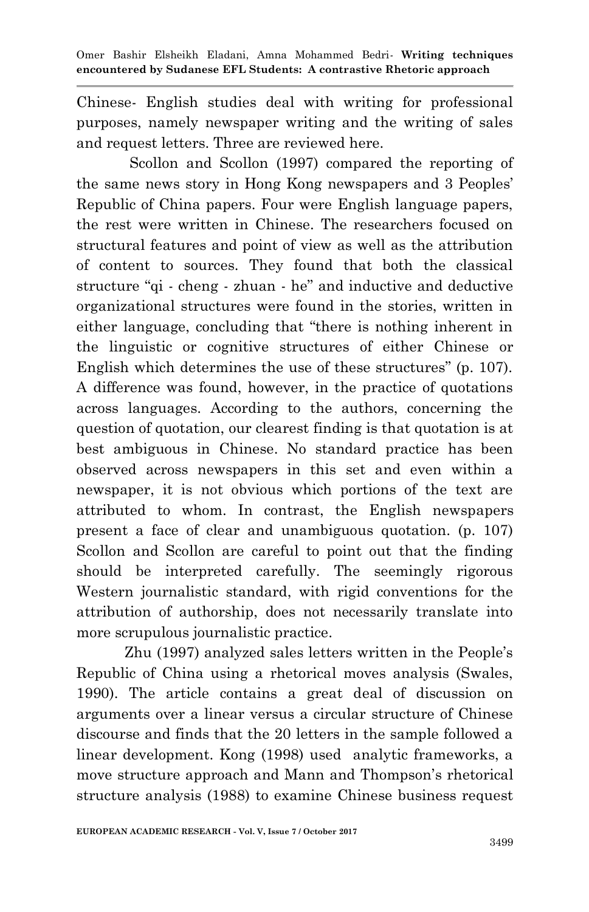Chinese- English studies deal with writing for professional purposes, namely newspaper writing and the writing of sales and request letters. Three are reviewed here.

 Scollon and Scollon (1997) compared the reporting of the same news story in Hong Kong newspapers and 3 Peoples' Republic of China papers. Four were English language papers, the rest were written in Chinese. The researchers focused on structural features and point of view as well as the attribution of content to sources. They found that both the classical structure "qi - cheng - zhuan - he" and inductive and deductive organizational structures were found in the stories, written in either language, concluding that "there is nothing inherent in the linguistic or cognitive structures of either Chinese or English which determines the use of these structures" (p. 107). A difference was found, however, in the practice of quotations across languages. According to the authors, concerning the question of quotation, our clearest finding is that quotation is at best ambiguous in Chinese. No standard practice has been observed across newspapers in this set and even within a newspaper, it is not obvious which portions of the text are attributed to whom. In contrast, the English newspapers present a face of clear and unambiguous quotation. (p. 107) Scollon and Scollon are careful to point out that the finding should be interpreted carefully. The seemingly rigorous Western journalistic standard, with rigid conventions for the attribution of authorship, does not necessarily translate into more scrupulous journalistic practice.

 Zhu (1997) analyzed sales letters written in the People's Republic of China using a rhetorical moves analysis (Swales, 1990). The article contains a great deal of discussion on arguments over a linear versus a circular structure of Chinese discourse and finds that the 20 letters in the sample followed a linear development. Kong (1998) used analytic frameworks, a move structure approach and Mann and Thompson's rhetorical structure analysis (1988) to examine Chinese business request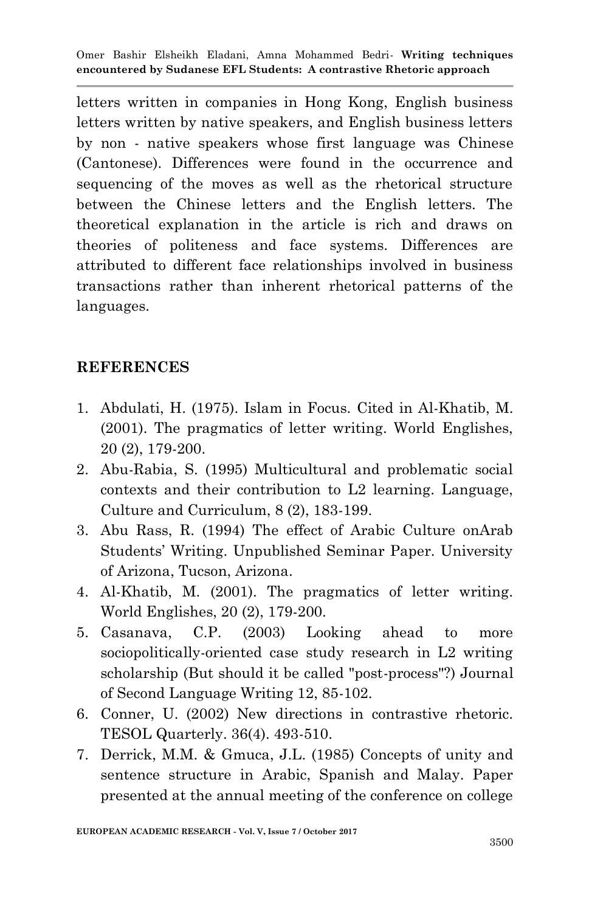letters written in companies in Hong Kong, English business letters written by native speakers, and English business letters by non - native speakers whose first language was Chinese (Cantonese). Differences were found in the occurrence and sequencing of the moves as well as the rhetorical structure between the Chinese letters and the English letters. The theoretical explanation in the article is rich and draws on theories of politeness and face systems. Differences are attributed to different face relationships involved in business transactions rather than inherent rhetorical patterns of the languages.

# **REFERENCES**

- 1. Abdulati, H. (1975). Islam in Focus. Cited in Al-Khatib, M. (2001). The pragmatics of letter writing. World Englishes, 20 (2), 179-200.
- 2. Abu-Rabia, S. (1995) Multicultural and problematic social contexts and their contribution to L2 learning. Language, Culture and Curriculum, 8 (2), 183-199.
- 3. Abu Rass, R. (1994) The effect of Arabic Culture onArab Students' Writing. Unpublished Seminar Paper. University of Arizona, Tucson, Arizona.
- 4. Al-Khatib, M. (2001). The pragmatics of letter writing. World Englishes, 20 (2), 179-200.
- 5. Casanava, C.P. (2003) Looking ahead to more sociopolitically-oriented case study research in L2 writing scholarship (But should it be called "post-process"?) Journal of Second Language Writing 12, 85-102.
- 6. Conner, U. (2002) New directions in contrastive rhetoric. TESOL Quarterly. 36(4). 493-510.
- 7. Derrick, M.M. & Gmuca, J.L. (1985) Concepts of unity and sentence structure in Arabic, Spanish and Malay. Paper presented at the annual meeting of the conference on college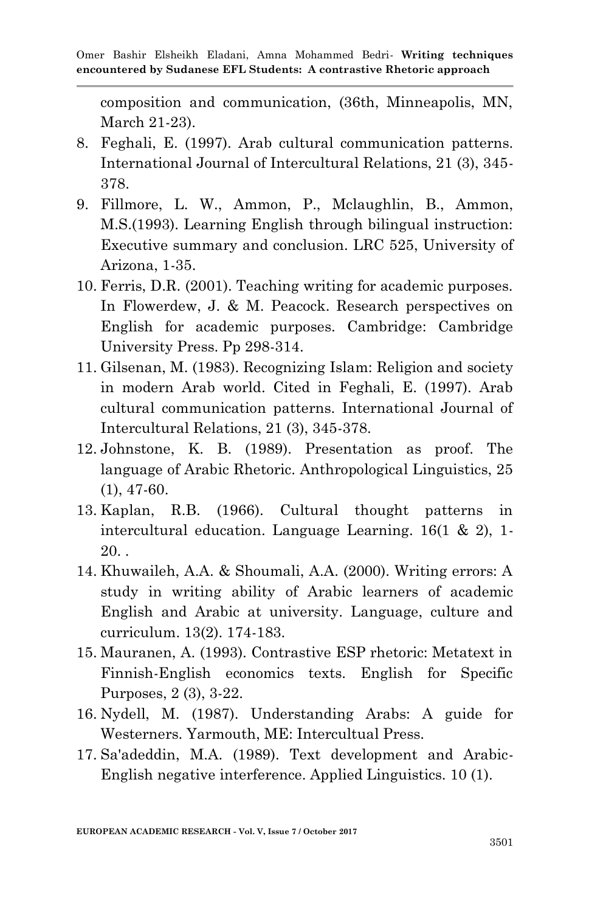composition and communication, (36th, Minneapolis, MN, March 21-23).

- 8. Feghali, E. (1997). Arab cultural communication patterns. International Journal of Intercultural Relations, 21 (3), 345- 378.
- 9. Fillmore, L. W., Ammon, P., Mclaughlin, B., Ammon, M.S.(1993). Learning English through bilingual instruction: Executive summary and conclusion. LRC 525, University of Arizona, 1-35.
- 10. Ferris, D.R. (2001). Teaching writing for academic purposes. In Flowerdew, J. & M. Peacock. Research perspectives on English for academic purposes. Cambridge: Cambridge University Press. Pp 298-314.
- 11. Gilsenan, M. (1983). Recognizing Islam: Religion and society in modern Arab world. Cited in Feghali, E. (1997). Arab cultural communication patterns. International Journal of Intercultural Relations, 21 (3), 345-378.
- 12. Johnstone, K. B. (1989). Presentation as proof. The language of Arabic Rhetoric. Anthropological Linguistics, 25 (1), 47-60.
- 13. Kaplan, R.B. (1966). Cultural thought patterns in intercultural education. Language Learning. 16(1 & 2), 1-  $20.$ .
- 14. Khuwaileh, A.A. & Shoumali, A.A. (2000). Writing errors: A study in writing ability of Arabic learners of academic English and Arabic at university. Language, culture and curriculum. 13(2). 174-183.
- 15. Mauranen, A. (1993). Contrastive ESP rhetoric: Metatext in Finnish-English economics texts. English for Specific Purposes, 2 (3), 3-22.
- 16. Nydell, M. (1987). Understanding Arabs: A guide for Westerners. Yarmouth, ME: Intercultual Press.
- 17. Sa'adeddin, M.A. (1989). Text development and Arabic-English negative interference. Applied Linguistics. 10 (1).